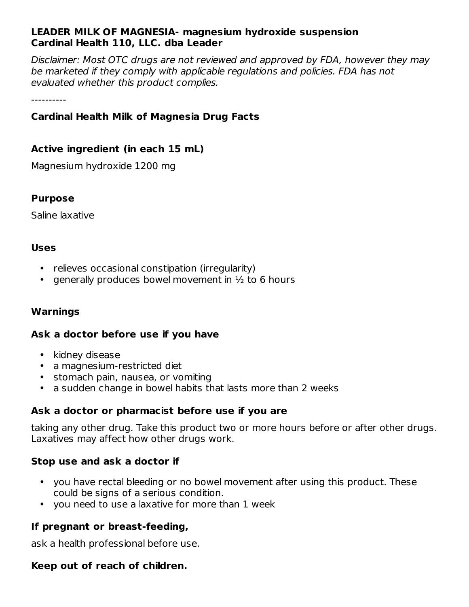#### **LEADER MILK OF MAGNESIA- magnesium hydroxide suspension Cardinal Health 110, LLC. dba Leader**

Disclaimer: Most OTC drugs are not reviewed and approved by FDA, however they may be marketed if they comply with applicable regulations and policies. FDA has not evaluated whether this product complies.

----------

# **Cardinal Health Milk of Magnesia Drug Facts**

#### **Active ingredient (in each 15 mL)**

Magnesium hydroxide 1200 mg

#### **Purpose**

Saline laxative

#### **Uses**

- relieves occasional constipation (irregularity)
- generally produces bowel movement in  $\frac{1}{2}$  to 6 hours

#### **Warnings**

#### **Ask a doctor before use if you have**

- kidney disease
- a magnesium-restricted diet
- stomach pain, nausea, or vomiting
- a sudden change in bowel habits that lasts more than 2 weeks

## **Ask a doctor or pharmacist before use if you are**

taking any other drug. Take this product two or more hours before or after other drugs. Laxatives may affect how other drugs work.

## **Stop use and ask a doctor if**

- you have rectal bleeding or no bowel movement after using this product. These could be signs of a serious condition.
- you need to use a laxative for more than 1 week

## **If pregnant or breast-feeding,**

ask a health professional before use.

## **Keep out of reach of children.**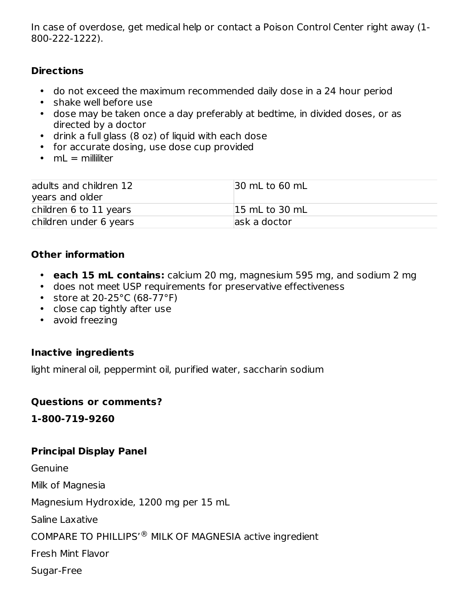In case of overdose, get medical help or contact a Poison Control Center right away (1- 800-222-1222).

## **Directions**

- do not exceed the maximum recommended daily dose in a 24 hour period
- shake well before use
- dose may be taken once a day preferably at bedtime, in divided doses, or as directed by a doctor
- drink a full glass (8 oz) of liquid with each dose
- for accurate dosing, use dose cup provided
- mL = milliliter

| adults and children 12<br>years and older | 30 mL to 60 mL            |
|-------------------------------------------|---------------------------|
| children 6 to 11 years                    | $ 15 \text{ mL}$ to 30 mL |
| children under 6 years                    | ask a doctor              |

## **Other information**

- **each 15 mL contains:** calcium 20 mg, magnesium 595 mg, and sodium 2 mg
- does not meet USP requirements for preservative effectiveness
- store at 20-25°C (68-77°F)
- close cap tightly after use
- avoid freezing

## **Inactive ingredients**

light mineral oil, peppermint oil, purified water, saccharin sodium

## **Questions or comments?**

**1-800-719-9260**

# **Principal Display Panel**

Genuine Milk of Magnesia Magnesium Hydroxide, 1200 mg per 15 mL Saline Laxative COMPARE TO PHILLIPS'<sup>®</sup> MILK OF MAGNESIA active ingredient Fresh Mint Flavor Sugar-Free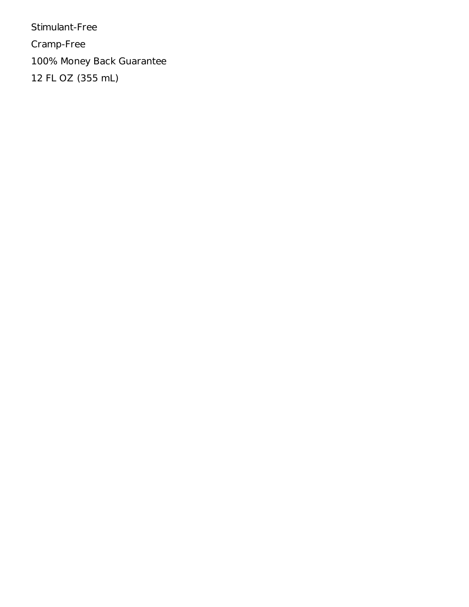Stimulant-Free Cramp-Free 100% Money Back Guarantee 12 FL OZ (355 mL)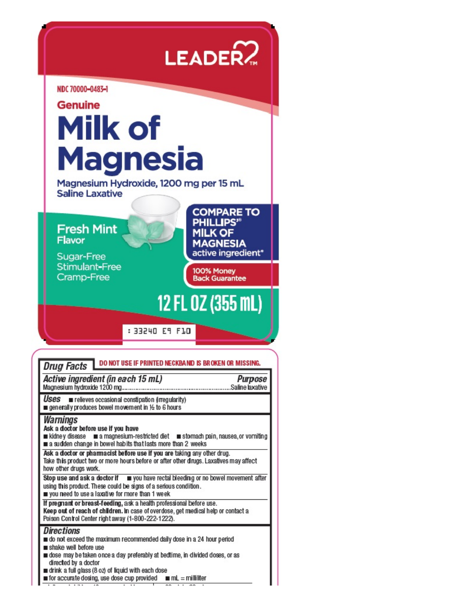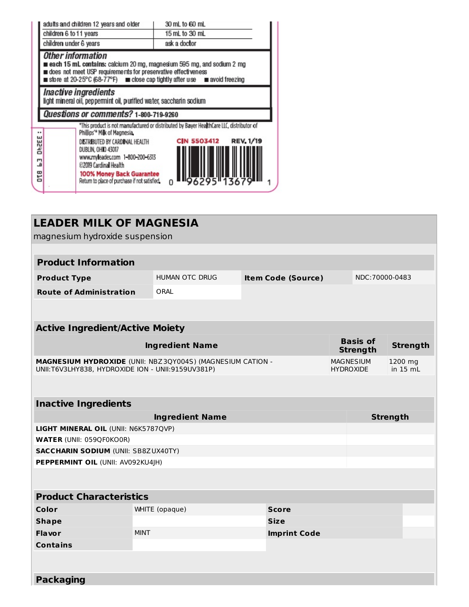|                              | adults and children 12 years and older                                                                                                                                                                                                       | 30 mL to 60 mL                                                                                                                     |  |  |
|------------------------------|----------------------------------------------------------------------------------------------------------------------------------------------------------------------------------------------------------------------------------------------|------------------------------------------------------------------------------------------------------------------------------------|--|--|
|                              | children 6 to 11 years                                                                                                                                                                                                                       | 15 mL to 30 mL                                                                                                                     |  |  |
|                              | children under 6 years                                                                                                                                                                                                                       | ask a doctor                                                                                                                       |  |  |
|                              | Other information<br>each 15 mL contains: calcium 20 mg, magnesium 595 mg, and sodium 2 mg<br>does not meet USP requirements for preservative effectiveness<br>store at 20-25°C (68-77°F) and close cap tightly after use and avoid freezing |                                                                                                                                    |  |  |
|                              | Inactive ingredients<br>light mineral oil, peppermint oil, purified water, saccharin sodium                                                                                                                                                  |                                                                                                                                    |  |  |
|                              | Questions or comments? 1-800-719-9260                                                                                                                                                                                                        |                                                                                                                                    |  |  |
| <br>OHZEE<br>Ξ<br><b>DTB</b> | Phillips'* Milk of Magnesia.<br>DISTRIBUTED BY CARDINAL HEALTH<br>DUBLIN, OHIO 43017<br>www.myleader.com 1-800-200-6313<br>©2019 Cardinal Health<br>100% Money Back Guarantee<br>Return to place of purchase if not satisfied                | *This product is not manufactured or distributed by Bayer HealthCare LLC, distributor of<br><b>REV. 1/19</b><br><b>CIN 5503412</b> |  |  |

| <b>LEADER MILK OF MAGNESIA</b>                    |                                                            |                           |  |                                      |                       |  |  |  |
|---------------------------------------------------|------------------------------------------------------------|---------------------------|--|--------------------------------------|-----------------------|--|--|--|
| magnesium hydroxide suspension                    |                                                            |                           |  |                                      |                       |  |  |  |
|                                                   |                                                            |                           |  |                                      |                       |  |  |  |
| <b>Product Information</b>                        |                                                            |                           |  |                                      |                       |  |  |  |
| <b>Product Type</b>                               | <b>HUMAN OTC DRUG</b>                                      | <b>Item Code (Source)</b> |  |                                      | NDC:70000-0483        |  |  |  |
| <b>Route of Administration</b>                    | ORAL                                                       |                           |  |                                      |                       |  |  |  |
|                                                   |                                                            |                           |  |                                      |                       |  |  |  |
| <b>Active Ingredient/Active Moiety</b>            |                                                            |                           |  |                                      |                       |  |  |  |
|                                                   | <b>Ingredient Name</b>                                     |                           |  | <b>Basis of</b><br><b>Strength</b>   | <b>Strength</b>       |  |  |  |
| UNII:T6V3LHY838, HYDROXIDE ION - UNII:9159UV381P) | MAGNESIUM HYDROXIDE (UNII: NBZ3QY004S) (MAGNESIUM CATION - |                           |  | <b>MAGNESIUM</b><br><b>HYDROXIDE</b> | 1200 mg<br>in $15 mL$ |  |  |  |
|                                                   |                                                            |                           |  |                                      |                       |  |  |  |
| <b>Inactive Ingredients</b>                       |                                                            |                           |  |                                      |                       |  |  |  |
|                                                   | <b>Ingredient Name</b>                                     |                           |  |                                      | <b>Strength</b>       |  |  |  |
| LIGHT MINERAL OIL (UNII: N6K5787QVP)              |                                                            |                           |  |                                      |                       |  |  |  |
| <b>WATER (UNII: 059QF0KO0R)</b>                   |                                                            |                           |  |                                      |                       |  |  |  |
| <b>SACCHARIN SODIUM (UNII: SB8ZUX40TY)</b>        |                                                            |                           |  |                                      |                       |  |  |  |
| PEPPERMINT OIL (UNII: AV092KU4JH)                 |                                                            |                           |  |                                      |                       |  |  |  |
|                                                   |                                                            |                           |  |                                      |                       |  |  |  |
| <b>Product Characteristics</b>                    |                                                            |                           |  |                                      |                       |  |  |  |
| <b>Color</b>                                      | WHITE (opaque)                                             | <b>Score</b>              |  |                                      |                       |  |  |  |
| <b>Shape</b>                                      |                                                            | <b>Size</b>               |  |                                      |                       |  |  |  |
| <b>Flavor</b>                                     | <b>MINT</b>                                                | <b>Imprint Code</b>       |  |                                      |                       |  |  |  |
| <b>Contains</b>                                   |                                                            |                           |  |                                      |                       |  |  |  |
|                                                   |                                                            |                           |  |                                      |                       |  |  |  |
| <b>Packaging</b>                                  |                                                            |                           |  |                                      |                       |  |  |  |
|                                                   |                                                            |                           |  |                                      |                       |  |  |  |